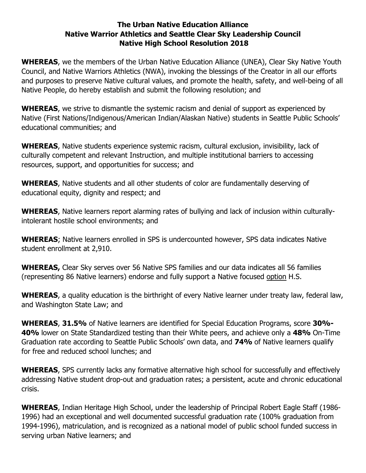## **The Urban Native Education Alliance Native Warrior Athletics and Seattle Clear Sky Leadership Council Native High School Resolution 2018**

**WHEREAS**, we the members of the Urban Native Education Alliance (UNEA), Clear Sky Native Youth Council, and Native Warriors Athletics (NWA), invoking the blessings of the Creator in all our efforts and purposes to preserve Native cultural values, and promote the health, safety, and well-being of all Native People, do hereby establish and submit the following resolution; and

**WHEREAS**, we strive to dismantle the systemic racism and denial of support as experienced by Native (First Nations/Indigenous/American Indian/Alaskan Native) students in Seattle Public Schools' educational communities; and

**WHEREAS**, Native students experience systemic racism, cultural exclusion, invisibility, lack of culturally competent and relevant Instruction, and multiple institutional barriers to accessing resources, support, and opportunities for success; and

**WHEREAS**, Native students and all other students of color are fundamentally deserving of educational equity, dignity and respect; and

**WHEREAS**, Native learners report alarming rates of bullying and lack of inclusion within culturallyintolerant hostile school environments; and

**WHEREAS**; Native learners enrolled in SPS is undercounted however, SPS data indicates Native student enrollment at 2,910.

**WHEREAS,** Clear Sky serves over 56 Native SPS families and our data indicates all 56 families (representing 86 Native learners) endorse and fully support a Native focused option H.S.

**WHEREAS**, a quality education is the birthright of every Native learner under treaty law, federal law, and Washington State Law; and

**WHEREAS**, **31.5%** of Native learners are identified for Special Education Programs, score **30%- 40%** lower on State Standardized testing than their White peers, and achieve only a **48%** On-Time Graduation rate according to Seattle Public Schools' own data, and **74%** of Native learners qualify for free and reduced school lunches; and

**WHEREAS**, SPS currently lacks any formative alternative high school for successfully and effectively addressing Native student drop-out and graduation rates; a persistent, acute and chronic educational crisis.

**WHEREAS**, Indian Heritage High School, under the leadership of Principal Robert Eagle Staff (1986- 1996) had an exceptional and well documented successful graduation rate (100% graduation from 1994-1996), matriculation, and is recognized as a national model of public school funded success in serving urban Native learners; and